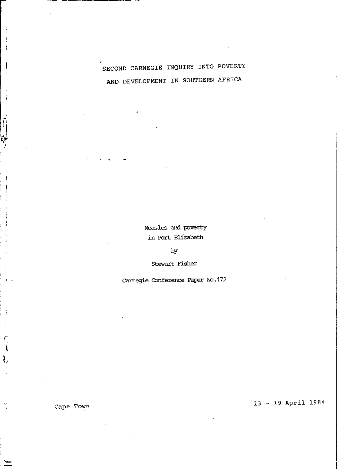# SECOND CARNEGIE INQUIRY INTO POVERTY AND DEVELOPMENT IN SOUTHERN AFRICA

Measles and poverty in Port Elizabeth

by

Stewart Fisher

Carnegie Conference Paper No.172

 $13 - 19$  April 1984

Cape Town

j ij f

j

 $\hat{\hat{\eta}}$ 

Ę

ļ

Ą I

÷

ì.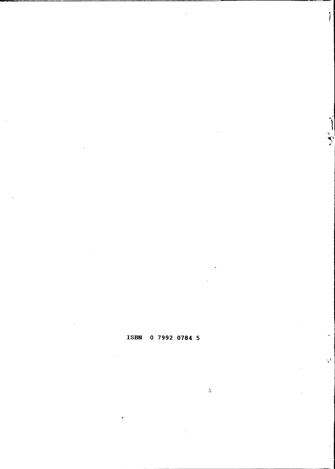# ISBN 0 7992 0784 5

 $\bar{\mathcal{L}}$ 

 $\mathcal{Q}$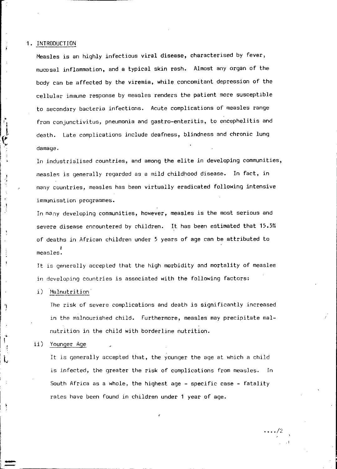### 1. INTRODUCTION

 $\frac{1}{1}$  $\mathcal{L}$ I I

> $\mathbf{r}^{\prime}$ j,

> > ţ

þ

... I

Ņ

,t.

 $\, \cdot \,$  .

Measles is an highly infectious viral disease, characterised by fever, mucosal inflammation, and a typical skin rash. Almost any organ of the body can be affected by the viremia, while concomitant depression of the cellular immune response by measles renders the patient more susceptible to secondary bacteria infections. Acute complications of measles range from conjunctivitus, pneumonia and gastro-enteritis, to encephelitis and death. Late complications include deafness, blindness and chronic lung damage.

In industrialised countries, and among the elite in developing communities, measles is generally regarded as a mild childhood disease. In fact, in many countries, measles has been virtually eradicated following intensive immunisation programmes.

In many developing communities, however, measles is the most serious and severe disease encountered by children. It has been estimated that 15.5% of deaths in African children under 5 years of age can be attributed to **ا**<br>.measles

Jt is generally accepted that the high morbidity and mortality of measles in developing countries is associated with the following factors:

### i) Malnutrition

The risk of severe complications and death is significantly increased in the malnourished child. Furthermore, measles may precipitate malnutrition in the child with borderline nutrition .

ii) Younger Age

It is generally accepted that, the younger the age at which a child is infected, the greater the risk of complications from measles. In South Africa as a whole, the highest age - specific case - fatality rates have been found in children under 1 year of age.

 $\cdots$ /2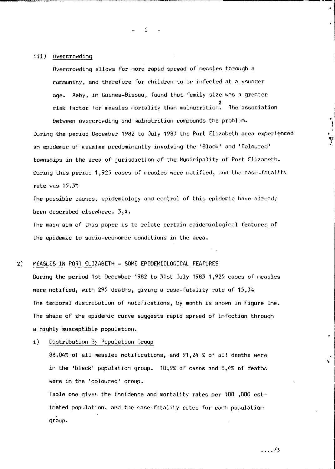# *iii)* Overcrowding

Overcrowding allows for more rapid spread of measles through a community, and therefore for children to be infected at a younger age. Aaby, in Guinea-Bissau, found that family size was a greater 2 risk factor for measles mortality than malnutrition. The association between overcrowding and malnutrition compounds the problem.

 $\overline{c}$ 

During the period December 1982 to July 1983 the Port Elizabeth area experienced an epidemic of measles predominantly involving the 'Slack' and 'Coloured' townships in the area of jurisdiction of the Municipality of Port Elizabeth. During this period 1,925 cases of measles were notified. and the case-fatality rate was 15.3%

The possible causes, epidemiology and control of this epidemic have already been described elsewhere. 3,4.

The main aim of this paper is to relate certain epidemiological features of the epidemic to socio-economic conditions in the area.

### 2) MEASLES IN PORT ELIZABETH - SOME EPIDEMIOLOGICAL FEATURES

During the period 1st December 1982 to 31st July 1983 1,925 cases of measles were notified, with 295 deaths, giving a case-fatality rate of 15,3% The temporal distribution of notifications, by month is shown in figure One. The shape of the epidemic curve suggests rapid spread of infcction through a highly susceptible population.

i) Distribution By Population Croup

 $88.04%$  of all measles notifications, and 91,24 % of all deaths were in the 'black' population group. 10,9% of cases and 8,4% of deaths *'/ere* in the 'coloured' group.

Table one gives the incidence and mortality rates per  $100$  ,000 estimated population, and the case-fatality rates for each population group.

. ... /3

I • I ا إ

J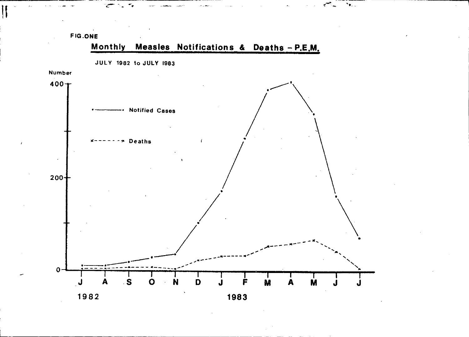

 $\mathbf{v}_{\mathbf{r}_{\text{max}}}$ 

1983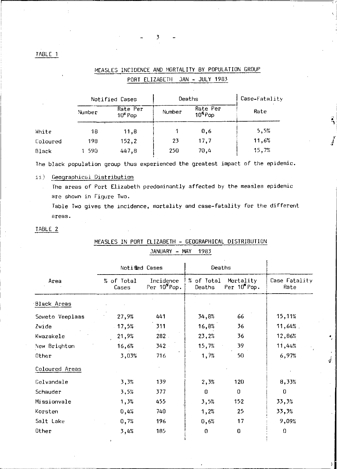# MEASLES INCIDENCE AND MORTALITY BY POPULATION GROUP PORT ELIZABETH JAN - JULY 1983

|          | Notified Cases |                       | Deaths |                                 | Case-Fatality |
|----------|----------------|-----------------------|--------|---------------------------------|---------------|
|          | Number         | Rate Per<br>$105$ Pop | Number | Rate Per<br>10 <sup>5</sup> Pop | Rate          |
| White    | 18             | 11,8                  |        | 0.6                             | 5.5%          |
| Coloured | 198            | 152.2                 | 23     | 17.7                            | 11,6%         |
| Black    | 590            | 447.8                 | 250    | 70.4                            | 15.7%         |

The black population group thus experienced the greatest impact of the epidemic.

# ii) Geographical Distribution

The areas of Port Elizabeth predominantly affected by the measles epidemic are shown in Figure Two.

Table Two gives the incidence, mortality and case-fatality for the different areas.

# TABLE 2

|                 |                     | Notified Cases                        | Deaths               |                          |                       |
|-----------------|---------------------|---------------------------------------|----------------------|--------------------------|-----------------------|
| Area            | % of Total<br>Cases | Incidence<br>Per 10 <sup>5</sup> Pop. | % of Total<br>Deaths | Mortality<br>Per 10 Pop. | Case Fatality<br>Rate |
| Black Areas     |                     |                                       |                      |                          |                       |
| Soweto Veeplaas | 27,9%               | 441                                   | 34,8%                | 66                       | 15,11%                |
| Zwide           | 17,5%               | 311                                   | 16,8%                | 36                       | 11,64%                |
| Kwazakele       | 21,9%               | 282                                   | 23,2%                | 36                       | 12,86%                |
| New Brighton    | 16,6%               | 342                                   | 15,7%                | 39                       | 11,44%                |
| Other           | 3,03%               | 716                                   | 1,7%                 | 50                       | 6,97%                 |
| Coloured Areas  |                     |                                       |                      |                          |                       |
| Gelvandale      | 3,3%                | 139                                   | 2,3%                 | 120                      | 8,33%                 |
| Schauder        | 3,5%                | 377                                   | $\mathbf 0$          | 0                        | 0                     |
| Missionvale     | 1,3%                | 455                                   | 3,5%                 | 152                      | 33,3%                 |
| Korsten         | 0,4%                | 740                                   | 1,2%                 | 25                       | 33,3%                 |
| Salt Lake       | 0,7%                | 196                                   | 0,6%                 | 17                       | 9,09%                 |
| Other           | 3,4%                | 185                                   | $\Omega$             | 0                        | 0                     |

J

# MEASLES IN PORT ELIZABETH - GEOGRAPHICAL DISTRIBUTION

#### **TANLIADV** MAY 1993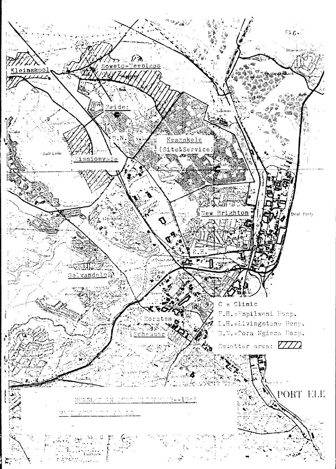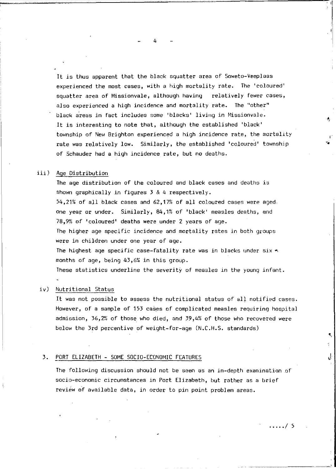It is thus apparent that the black squatter area of Soweto-Veeplaas experienced the most cases, with a high mortality rate. The 'coloured' squatter area of Missionvale, although having relatively fewer cases, also experienced a high incidence and mortality rate. The "other" black areas in fact includes some 'blacks' living in Missionvale. It is interesting to note that, although the established 'black' township of New Brighton experienced a high incidence rate, the mortality rate was relatively low. Similarly, the established 'coloured' township of Schauder had a high incidence rate, but no deaths.

# iii) Age Distribution

The age distribution of the coloured and black cases and denths is shown graphically in figures  $3 \& 4$  respectively.  $54,21%$  of all black cases and  $62,17%$  of all coloured cases were aged. one year or under. Similarly, 84,1% of 'black' measles deaths, and 78,9?, of 'coloured' deaths were under 2 years of age. The higher age specific incidence and mortality rates in both groups were *in* children under one year of age. The highest age specific case-fatality rate was in blacks under  $\sin x \rightarrow$ . months of age, being 43,6?, *in* this group.

1hese statistics underline the severity of measles in the young infant.

### iv) Nutritional Status

It was not possible to assess the nutritional status of all notified cases. However, of a sample of 153 cases of complicated measles requiring hospital admission, 36,2% of those who died, and 39,4% of those who recovered were below the 3rd percentive of weight-for-age (N.C.H.S. standards)

### 3. PORT ELIZABETH - SOME SOCIO-ECONOMIC FEATURES

The following discussion should not be seen as an in-depth examination of socio-economic circumstances in Port Elizabeth, but rather as a brief review of available data, in order to pin point problem areas.

4

 $\frac{1}{2}$ 

, ,

' '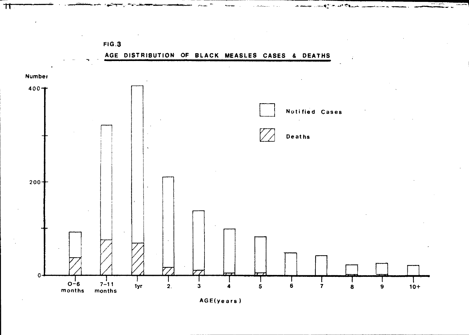

---

 $FIG.3$ 

 $\boldsymbol{\pi}$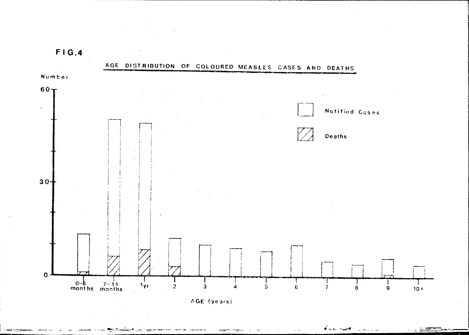**FIG.4** 

 $\sim$ 

a na matang



AGE (years)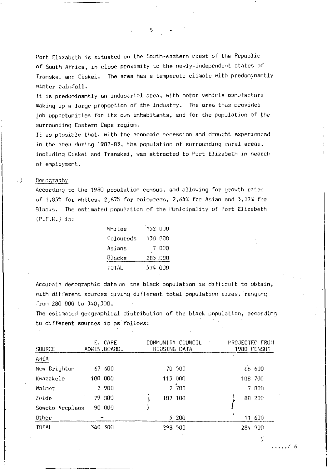Port Elizabeth is situated on the South-eastern coast of the Republic of South Africa, in close proximity to the newly-independent states of Transkei and Ciskei. The area has a temperate climate with predominantly winter rainfall.

It is predominantly an industrial area, with motor vehicle manufacture making up a large proportion of the industry. The area thus provides job opportunities for its own inhabitants, and for the population of the surrounding Eastern Cape region.

It is possible that, with the economic recession and drought experienced in the area during 1982-83, the population of surrounding rural areas, including Ciskei and Transkei, was attracted to Port Elizabeth in search of employment.

#### $\pm$ Demography

According to the 1980 population census, and allowing for growth rates of 1,85% for whites, 2,67% for coloureds, 2,64% for Asian and 3,17% for Blacks. The estimated population of the Municipality of Port Elizabeth  $(P.F.M.)$  is:

| Whites       | 152 000 |         |
|--------------|---------|---------|
| Coloureds    | 130 000 |         |
| Asians       |         | 7 000   |
| Blacks       |         | 285 000 |
| <b>TOTAL</b> | 574 000 |         |

Accurate demographic data on the black population is difficult to obtain, with different sources giving different total population sizes. ranging from 280 000 to 340,300.

The estimated geographical distribution of the black population, according to different sources is as follows:

| <b>SOURCE</b>   | E. CAPE<br>ADMIN.BOARD. | CONMUNITY COUNCIL<br>HOUSING DATA | PROJECTED FROM<br><b>1980 CENSUS</b> |
|-----------------|-------------------------|-----------------------------------|--------------------------------------|
| AREA            |                         |                                   |                                      |
| New Brighton    | 67 600                  | 70 500                            | 68 600                               |
| Kwazakele       | 100 000                 | 113 000                           | 108 700                              |
| Walmer          | 2 900                   | 2 700                             | 7 800                                |
| Zwide           | 79 800                  | 107 100                           | 88 200                               |
| Soweto Veeplaas | 90 000                  |                                   |                                      |
| Other           |                         | 5 200                             | 11 600                               |
| <b>TOTAL</b>    | 340 300                 | 298 500                           | 284 900                              |

 $\varsigma$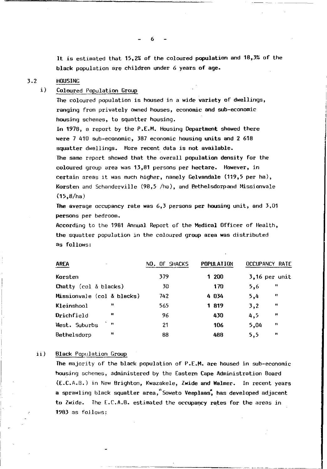It is estimated that 15,2% of the coloured population and 18,3% of the black population are children under 6 years of age.

## 3.2 HOUSING

# i} Coloured Population Group

The coloured population is housed in a wide variety of dwellings, ranging from privately owned houses, economic and sub-economic housing schemes, to squatter housing.

In 1978, a report by the P.E.M. Housing Department showed there were 7 410 sub-economic, 387 economic housing units and 2 618 squatter dwellings. More recent data is not available. The same report showed that the overall population density for the coloured group area was 13,81 persons per hectare. However, in certain areas it was much higher, namely Gelvandale (119,5 per hal, Korsten and Schanderville  $(98,5$  /ha), and Pethelsdorpand Missionvale (15,8/ha)

The average occupancy rate was  $6,3$  persons per housing unit, and  $3,01$ persons per bedroom.

According to the 1981 Annual Report of the Medical Officer of Health, the squatter population in the coloured group area was distributed as follows:

| AREA<br>$\sim$                | NO. OF SHACKS | <b>POPULATION</b> | <b>OCCUPANCY RATE</b> |
|-------------------------------|---------------|-------------------|-----------------------|
| Korsten                       | 379           | 1 200             | 3,16 per unit         |
| Chatty (col $\&$ blacks)      | 30            | 170               | 11<br>5,6             |
| Missionyale (col & blacks)    | 742           | 4 034             | n<br>5,4              |
| u<br>Kleinshool               | 565           | 1819              | 11<br>3.2             |
| Drichfield                    | 96            | 430               | $\mathbf{u}$<br>4,5   |
| $\mathbf{H}$<br>West. Suburbs | 21            | 106               | $\bullet$<br>5.04     |
| 15<br>Bethelsdorp             | 88            | 488               | 11<br>5.5             |

# ii} Black Population Group

The majority of the black population of P.LM. are housed in sub-economic housing schemes, administered by the Eastern Cape Administration 80ard (LC.A.fl.) in New Brighton, Kwazakele, Zwide and Walmer. In recent years a sprawling black squatter area, "Soweto Veeplaas, has developed adjacent to Zwide. The  $E.C.A.B.$  estimated the occupancy rates for the areas in  $1983$  as follows:

6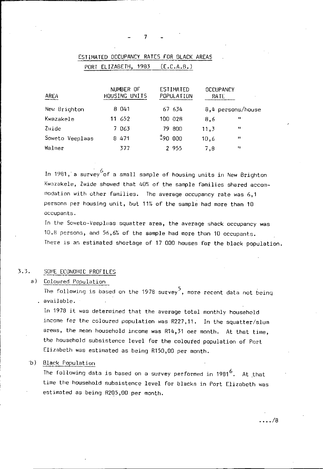$(E.C.A.B.)$ 

| AREA            | NUMBER OF<br>HOUSING UNITS | ESTIMATED<br>POPULATION | <b>OCCUPANCY</b><br>RATE |                   |
|-----------------|----------------------------|-------------------------|--------------------------|-------------------|
| New Brighton    | 8 0 4 1                    | 67 634                  |                          | 8,4 persons/house |
| Kwazakele       | 11 652                     | 100 028                 | 8,6                      | 11                |
| Zwide           | 7063                       | 79 800                  | 11,3                     | $\mathbf{H}$      |
| Soweto Veeplaas | 8471                       | 19000                   | 10,6                     | $^{\bullet}$      |
| Walmer          | 377                        | 2955                    | 7,8                      | $^{\dagger}$      |
|                 |                            |                         |                          |                   |

# ESTIMATED OCCUPANCY RATES FOR BLACK AREAS

PORT ELIZABETH, 1983

In 1981, a survey of a small sample of housing units in New Brighton Kwazakele, Zwide showed that 40% of the sample families shared accommodation with other families. The average occupancy rate was 6,1 persons per housing unit, but 11% of the sample had more than 10 occupants.

In the Soweto-Veeplaas squatter area, the average shack occupancy was 10,8 persons, and 56,6% of the sample had more than 10 occupants. There is an estimated shortage of 17 000 houses for the black population.

#### $3.3.$ SOME ECONOMIC PROFILES

a) Coloured Population

The following is based on the 1978 survey<sup>5</sup>, more recent data not being . available.

In 1978 it was determined that the average total monthly household income for the coloured population was R227,11. In the squatter/slum areas, the mean household income was R14,31 oer month. At that time, the household subsistence level for the coloured population of Port Elizabeth was estimated as being R150,00 per month.

b) Black Population

The following data is based on a survey performed in  $1981^6$ . At that time the household subsistence level for blacks in Port Elizabeth was estimated as being R205,00 per month.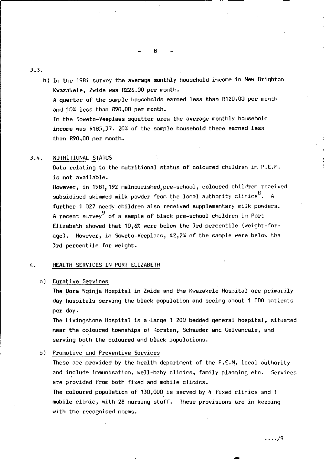3.3.

b} In the 1981 survey the average monthly household income in New Brighton Kwazakele, Zwide was R226.00 per month. A quarter of the sample households earned less than R120.00 per month and 10% less than R90,00 per month. In the Soweto-Veeplaas squatter area the average monthly household income was R185,37. 20% of the sample household there earned less than R90,00 per month.

# 3.4. NUTRITIONAL STATUS

Data relating to the nutritional status of coloured children in P.E.H. is not available.

However, in 1981,192 malnourished,pre-school, coloured children received subsidised skimmed milk powder from the local authority clinics  $^8$ . A further 1 027 needy children also received supplementary milk powders. A recent survey of a sample of black pre-school children in Port Elizabeth showed that 10,6% were below the 3rd percentile (weight-forage). However, in Soweto-Veeplaas, 42,2% of the sample were below the 3rd percentile for weight.

### 4. HEALTH SERVICES IN PORT ELIZABETH

## a} Curative Services

The Dora Nginja Hospital in Zwide and the Kwazakele Hospital are primarily day hospitals serving the black population and seeing about 1 000 patients per day.

The Livingstone Hospital is a large 1 200 bedded general hospital, situated near the coloured townships of Korsten, Schauder and Gelvandale, and serving both the coloured and black populations.

b) Promotive and Preventive Services

These are provided by the health department of the P.E.M. local authority and include immunisation, well-baby clinics, family planning etc. Services are provided from both fixed and mobile clinics.

The coloured population of 130,000 is served by 4 fixed clinics and 1 mobile clinic, with 28 nursing staff. These provisions are in keeping with the recognised norms.

8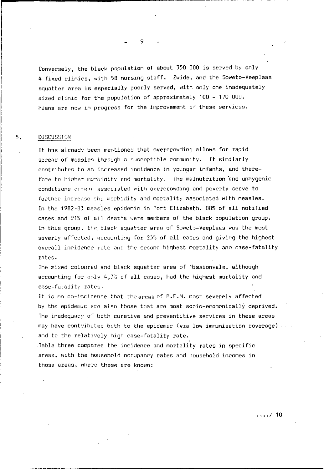Conversely, the black population of about 350 000 is served by only 4 fixed clinics, with 58 nursing staff. Zwide, and the Soweto-Veeplaas squatter area is especially poorly served, with only one inadequately sized clinic for the population of approximately 100 - 170 000. Plans are now in progress for the improvement of these services.

#### $5.$ **DISCUSSION**

It has already been mentioned that overcrowding allows for rapid spread of measles through a susceptible community. It similarly contributes to an increased incidence in younger infants, and therefore to higher morbigity and mortality. The malnutrition and unhygenic conditions ofter associated with overcrowding and poverty serve to further increase the morbidity and mortality associated with measles. In the 1982-83 measles epidemic in Port Elizabeth, 88% of all notified cases and 91% of all deaths were members of the black population group. In this group, the black squatter area of Soweto-Veeplaas was the most severly affected, accounting for 25% of all cases and giving the highest overall incidence rate and the second highest mortality and case-fatality rates.

The mixed coloured and black squatter area of Missionvale, although accounting for only 4,3% of all cases, had the highest mortality and case-fatality rates.

It is no co-incidence that the areas of P.E.M. most severely affected by the epidemic are also those that are most socio-ecomonically deprived. The inadequacy of both curative and preventitive services in these areas may have contributed both to the epidemic (via low immunisation coverage) and to the relatively high case-fatality rate.

Table three compares the incidence and mortality rates in specific areas, with the household occupancy rates and household incomes in those areas, where these are known:

 $\ldots/10$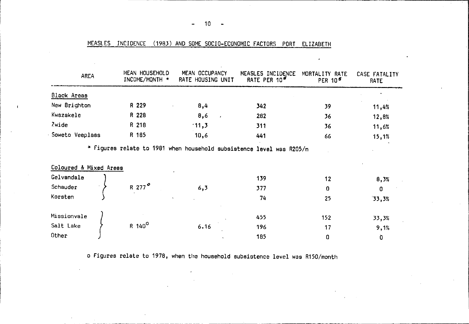| AREA                   | MEAN HOUSEHOLD<br>INCOME/MONTH * | MEAN OCCUPANCY<br>RATE HOUSING UNIT                                  | MEASLES INCIDENCE<br>RATE PER 10 <sup>5</sup> | MORTALITY RATE<br>PER 10 <sup>5</sup> | CASE FATALITY<br><b>RATE</b> |
|------------------------|----------------------------------|----------------------------------------------------------------------|-----------------------------------------------|---------------------------------------|------------------------------|
| Black Areas            |                                  |                                                                      |                                               |                                       |                              |
| New Brighton           | R 229                            | 8,4                                                                  | 342                                           | 39                                    | 11,4%                        |
| Kwazakele              | R 228                            | 8,6<br>$\lambda$                                                     | 282                                           | 36                                    | 12,8%                        |
| Zwide                  | R 218                            | $-11,3$                                                              | 311                                           | 36                                    | 11,6%                        |
| Soweto Veeplaas        | R 185                            | 10,6                                                                 | 441                                           | 66                                    | 15,1%                        |
| Coloured & Mixed Areas |                                  | * Figures relate to 1981 when household subsistence level was R205/m |                                               |                                       |                              |
| Gelvandale             |                                  |                                                                      | 139                                           | 12                                    | 8,3%                         |
| Schauder               | R 277 <sup>°</sup>               | 6,3                                                                  | 377                                           | 0                                     | 0                            |
| Korsten                |                                  |                                                                      | 74                                            | 25                                    | 33,3%                        |
| Missionvale            |                                  |                                                                      | 455                                           | 152                                   | 33,3%                        |
| Salt Lake              | $R$ 140 <sup>o</sup>             | 6.16                                                                 | 196                                           | 17                                    | 9,1%                         |
| Other                  |                                  |                                                                      | 185                                           | 0                                     | D.                           |

MEASLES INCIDENCE (1983) AND SOME SOCIO-ECONOMIC FACTORS PORT ELIZABETH

o Figures relate to 1978, when the household subsistence level was R150/month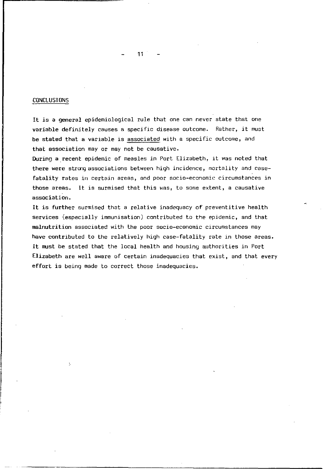### CONCLUSIONS

It is a general epidemiological rule that one can never state that one variable definitely causes a specific disease outcome. Rather, it must be stated that a variable is associated with a specific outcome, and that association may or may not be causative.

During a recent epidemic of measles in Port Elizabeth, it was noted that there were strong associations between high incidence, mortality and casefatality rates in certain areas, and poor socio-economic circumstances in those areas. It is surmised that this was, to some extent, a causative association.

It is further surmised that a relative inadequacy of preventitive health services (especially immunisation) contributed to the epidemic, and that malnutrition associated with the poor socio-economic circumstances may have contributed to the relatively high case-fatality rate in those areas. It must be stated that the local health and housing authorities *in* Port Elizabeth are well aware of certain inadequacies that exist, and that every effort is being made to correct those inadequacies.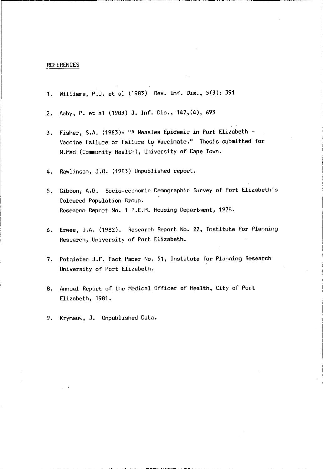### REFERENCES

- 1. \,/illiams, P.J. et a1 (1983) Rev. Inf. Dis., 5(3): 391
- 2. Aaby, P. et a1 (1983) J. Inf. Dis., 147,(4), 693
- 3. Fisher, S.A. (1983): "A Measles Epidemic in Port Elizabeth Vaccine Failure or Failure to Vaccinate." Thesis submitted for M.Med (Community Health), University of Cape Town.
- 4. Rawlinson, J.R. (1983) Unpublished report.
- 5. Gibbon, A.B. Socio-economic Demographic Survey of Port Elizabeth's Coloured Population Group. Research Report No.1 P.E.14. Housing Department, 1978.
- 6. Erwee, J.A. (1982). Research Report No. 22, Institute for Planning Research, University of Port Elizabeth.
- 7. Potgieter J.F. Fact Paper No. 51, Institute for Planning Research University of Port Elizabeth.
- 8. Annual Report of the Medical Officer of Health, City of Port Elizabeth, 1981.
- 9. Krynauw, J. Unpublished Data.